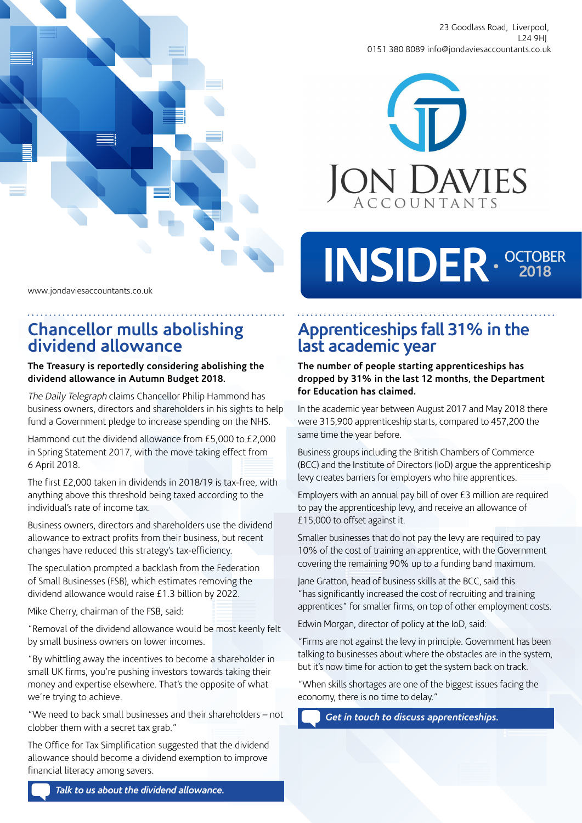

23 Goodlass Road, Liverpool, L24 9HJ 0151 380 8089 info@jondaviesaccountants.co.uk



# INSIDER · <sup>OCTOBER</sup>

www.jondaviesaccountants.co.uk

## **Chancellor mulls abolishing dividend allowance**

#### **The Treasury is reportedly considering abolishing the dividend allowance in Autumn Budget 2018.**

The Daily Telegraph claims Chancellor Philip Hammond has business owners, directors and shareholders in his sights to help fund a Government pledge to increase spending on the NHS.

Hammond cut the dividend allowance from £5,000 to £2,000 in Spring Statement 2017, with the move taking effect from 6 April 2018.

The first £2,000 taken in dividends in 2018/19 is tax-free, with anything above this threshold being taxed according to the individual's rate of income tax.

Business owners, directors and shareholders use the dividend allowance to extract profits from their business, but recent changes have reduced this strategy's tax-efficiency.

The speculation prompted a backlash from the Federation of Small Businesses (FSB), which estimates removing the dividend allowance would raise £1.3 billion by 2022.

Mike Cherry, chairman of the FSB, said:

"Removal of the dividend allowance would be most keenly felt by small business owners on lower incomes.

"By whittling away the incentives to become a shareholder in small UK firms, you're pushing investors towards taking their money and expertise elsewhere. That's the opposite of what we're trying to achieve.

"We need to back small businesses and their shareholders – not clobber them with a secret tax grab."

The Office for Tax Simplification suggested that the dividend allowance should become a dividend exemption to improve financial literacy among savers.

# **Apprenticeships fall 31% in the last academic year**

**The number of people starting apprenticeships has dropped by 31% in the last 12 months, the Department for Education has claimed.** 

In the academic year between August 2017 and May 2018 there were 315,900 apprenticeship starts, compared to 457,200 the same time the year before.

Business groups including the British Chambers of Commerce (BCC) and the Institute of Directors (IoD) argue the apprenticeship levy creates barriers for employers who hire apprentices.

Employers with an annual pay bill of over £3 million are required to pay the apprenticeship levy, and receive an allowance of £15,000 to offset against it.

Smaller businesses that do not pay the levy are required to pay 10% of the cost of training an apprentice, with the Government covering the remaining 90% up to a funding band maximum.

Jane Gratton, head of business skills at the BCC, said this "has significantly increased the cost of recruiting and training apprentices" for smaller firms, on top of other employment costs.

Edwin Morgan, director of policy at the IoD, said:

"Firms are not against the levy in principle. Government has been talking to businesses about where the obstacles are in the system, but it's now time for action to get the system back on track.

"When skills shortages are one of the biggest issues facing the economy, there is no time to delay."

*Get in touch to discuss apprenticeships.*